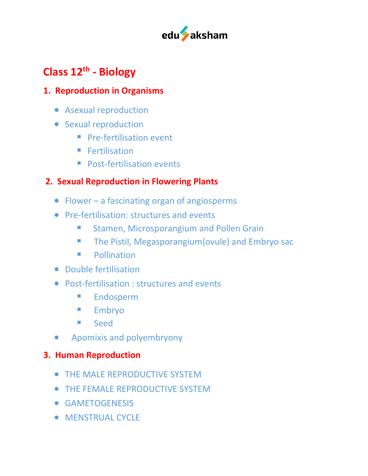

# **Class 12th - Biology**

#### **1. Reproduction in Organisms**

- Asexual reproduction
- Sexual reproduction
	- **Pre-fertilisation event**
	- Fertilisation
	- Post-fertilisation events

# **2. Sexual Reproduction in Flowering Plants**

- Flower a fascinating organ of angiosperms
- Pre-fertilisation: structures and events
	- Stamen, Microsporangium and Pollen Grain
	- The Pistil, Megasporangium(ovule) and Embryo sac
	- **•** Pollination
- Double fertilisation
- Post-fertilisation : structures and events
	- §Endosperm
	- Embryo
	- Seed
- •Apomixis and polyembryony

#### **3. Human Reproduction**

- THE MALE REPRODUCTIVE SYSTEM
- THE FEMALE REPRODUCTIVE SYSTEM
- GAMETOGENESIS
- MENSTRUAL CYCLE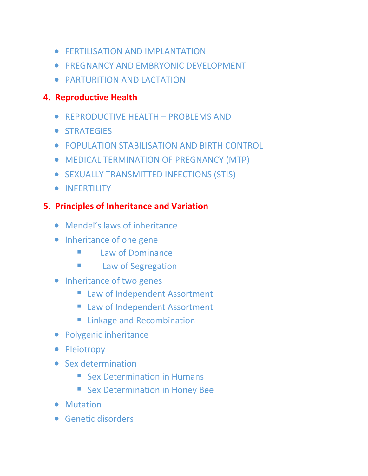- **FERTILISATION AND IMPLANTATION**
- PREGNANCY AND EMBRYONIC DEVELOPMENT
- PARTURITION AND LACTATION

#### **4. Reproductive Health**

- REPRODUCTIVE HEALTH PROBLEMS AND
- STRATEGIES
- POPULATION STABILISATION AND BIRTH CONTROL
- MEDICAL TERMINATION OF PREGNANCY (MTP)
- SEXUALLY TRANSMITTED INFECTIONS (STIS)
- INFERTILITY

#### **5. Principles of Inheritance and Variation**

- Mendel's laws of inheritance
- Inheritance of one gene
	- Law of Dominance
	- **Example 2** Law of Segregation
- Inheritance of two genes
	- Law of Independent Assortment
	- Law of Independent Assortment
	- Linkage and Recombination
- Polygenic inheritance
- Pleiotropy
- Sex determination
	- Sex Determination in Humans
	- Sex Determination in Honey Bee
- Mutation
- Genetic disorders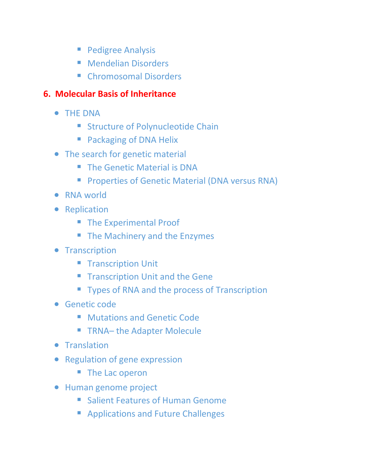- Pedigree Analysis
- Mendelian Disorders
- Chromosomal Disorders

# **6. Molecular Basis of Inheritance**

- THE DNA
	- Structure of Polynucleotide Chain
	- Packaging of DNA Helix
- The search for genetic material
	- The Genetic Material is DNA
	- **Properties of Genetic Material (DNA versus RNA)**
- RNA world
- Replication
	- The Experimental Proof
	- The Machinery and the Enzymes
- **•** Transcription
	- Transcription Unit
	- **Transcription Unit and the Gene**
	- Types of RNA and the process of Transcription
- Genetic code
	- Mutations and Genetic Code
	- TRNA- the Adapter Molecule
- Translation
- Regulation of gene expression
	- The Lac operon
- Human genome project
	- Salient Features of Human Genome
	- Applications and Future Challenges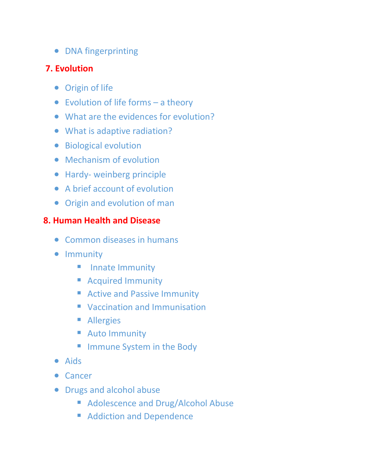• DNA fingerprinting

## **7. Evolution**

- Origin of life
- Evolution of life forms a theory
- What are the evidences for evolution?
- What is adaptive radiation?
- Biological evolution
- Mechanism of evolution
- Hardy- weinberg principle
- A brief account of evolution
- Origin and evolution of man

### **8. Human Health and Disease**

- Common diseases in humans
- Immunity
	- **E** Innate Immunity
	- Acquired Immunity
	- Active and Passive Immunity
	- Vaccination and Immunisation
	- Allergies
	- Auto Immunity
	- Immune System in the Body
- Aids
- Cancer
- Drugs and alcohol abuse
	- Adolescence and Drug/Alcohol Abuse
	- Addiction and Dependence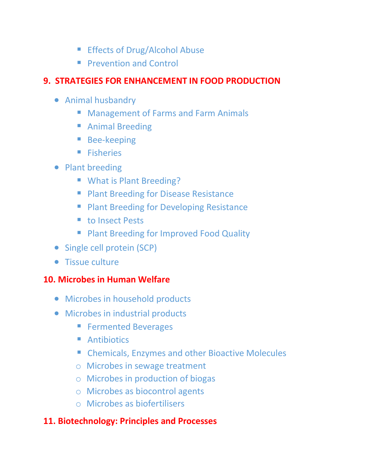- Effects of Drug/Alcohol Abuse
- **Prevention and Control**

#### **9. STRATEGIES FOR ENHANCEMENT IN FOOD PRODUCTION**

- Animal husbandry
	- Management of Farms and Farm Animals
	- Animal Breeding
	- Bee-keeping
	- Fisheries
- Plant breeding
	- What is Plant Breeding?
	- Plant Breeding for Disease Resistance
	- Plant Breeding for Developing Resistance
	- to Insect Pests
	- Plant Breeding for Improved Food Quality
- Single cell protein (SCP)
- Tissue culture

#### **10. Microbes in Human Welfare**

- Microbes in household products
- Microbes in industrial products
	- Fermented Beverages
	- Antibiotics
	- Chemicals, Enzymes and other Bioactive Molecules
	- o Microbes in sewage treatment
	- o Microbes in production of biogas
	- o Microbes as biocontrol agents
	- o Microbes as biofertilisers

#### **11. Biotechnology: Principles and Processes**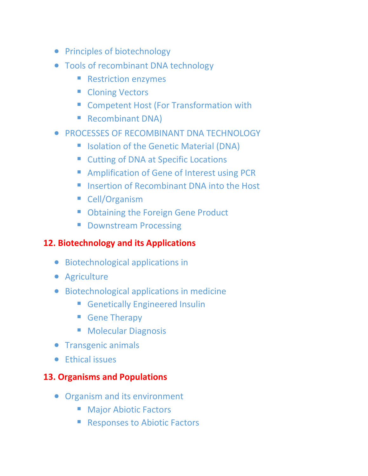- Principles of biotechnology
- Tools of recombinant DNA technology
	- Restriction enzymes
	- Cloning Vectors
	- Competent Host (For Transformation with
	- Recombinant DNA)
- **PROCESSES OF RECOMBINANT DNA TECHNOLOGY** 
	- Isolation of the Genetic Material (DNA)
	- Cutting of DNA at Specific Locations
	- Amplification of Gene of Interest using PCR
	- Insertion of Recombinant DNA into the Host
	- Cell/Organism
	- Obtaining the Foreign Gene Product
	- Downstream Processing

## **12. Biotechnology and its Applications**

- Biotechnological applications in
- Agriculture
- Biotechnological applications in medicine
	- Genetically Engineered Insulin
	- Gene Therapy
	- Molecular Diagnosis
- Transgenic animals
- Ethical issues

# **13. Organisms and Populations**

- Organism and its environment
	- Major Abiotic Factors
	- Responses to Abiotic Factors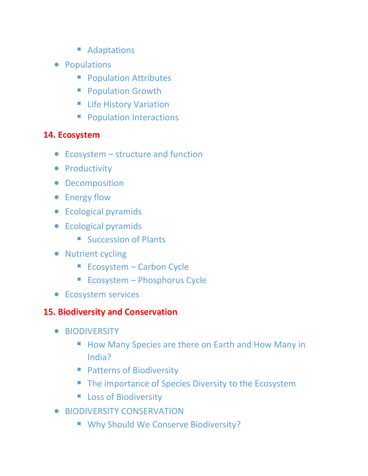- Adaptations
- Populations
	- Population Attributes
	- Population Growth
	- Life History Variation
	- Population Interactions

#### **14. Ecosystem**

- Ecosystem structure and function
- Productivity
- Decomposition
- Energy flow
- Ecological pyramids
- Ecological pyramids
	- Succession of Plants
- Nutrient cycling
	- Ecosystem Carbon Cycle
	- Ecosystem Phosphorus Cycle
- Ecosystem services

#### **15. Biodiversity and Conservation**

- BIODIVERSITY
	- How Many Species are there on Earth and How Many in India?
	- Patterns of Biodiversity
	- The importance of Species Diversity to the Ecosystem
	- Loss of Biodiversity
- BIODIVERSITY CONSERVATION
	- Why Should We Conserve Biodiversity?